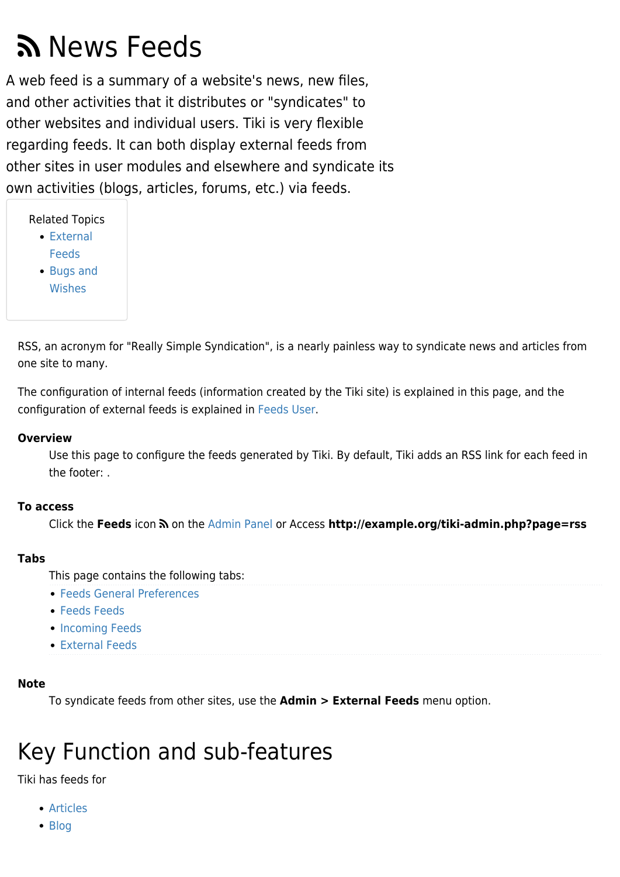# News Feeds

A web feed is a summary of a website's news, new files, and other activities that it distributes or "syndicates" to other websites and individual users. Tiki is very flexible regarding feeds. It can both display external feeds from other sites in user modules and elsewhere and syndicate its own activities (blogs, articles, forums, etc.) via feeds.

Related Topics

- [External](https://doc.tiki.org/External-Feeds) [Feeds](https://doc.tiki.org/External-Feeds)
- [Bugs and](http://dev.tiki.org/Administration)
- [Wishes](http://dev.tiki.org/Administration)

RSS, an acronym for "Really Simple Syndication", is a nearly painless way to syndicate news and articles from one site to many.

The configuration of internal feeds (information created by the Tiki site) is explained in this page, and the configuration of external feeds is explained in [Feeds User.](https://doc.tiki.org/Feeds-User)

#### **Overview**

Use this page to configure the feeds generated by Tiki. By default, Tiki adds an RSS link for each feed in the footer: .

#### **To access**

Click the **Feeds** icon  $\hat{N}$  on the [Admin Panel](https://doc.tiki.org/Admin-Panels) or Access **http://example.org/tiki-admin.php?page=rss** 

#### **Tabs**

This page contains the following tabs:

- [Feeds General Preferences](https://doc.tiki.org/Feeds-General-Preferences)
- **[Feeds Feeds](https://doc.tiki.org/Feeds-Feeds)**
- [Incoming Feeds](https://doc.tiki.org/Incoming-Feeds)
- [External Feeds](https://doc.tiki.org/External-Feeds)

#### **Note**

To syndicate feeds from other sites, use the **Admin > External Feeds** menu option.

# Key Function and sub-features

Tiki has feeds for

- [Articles](https://doc.tiki.org/Articles)
- [Blog](https://doc.tiki.org/Blog)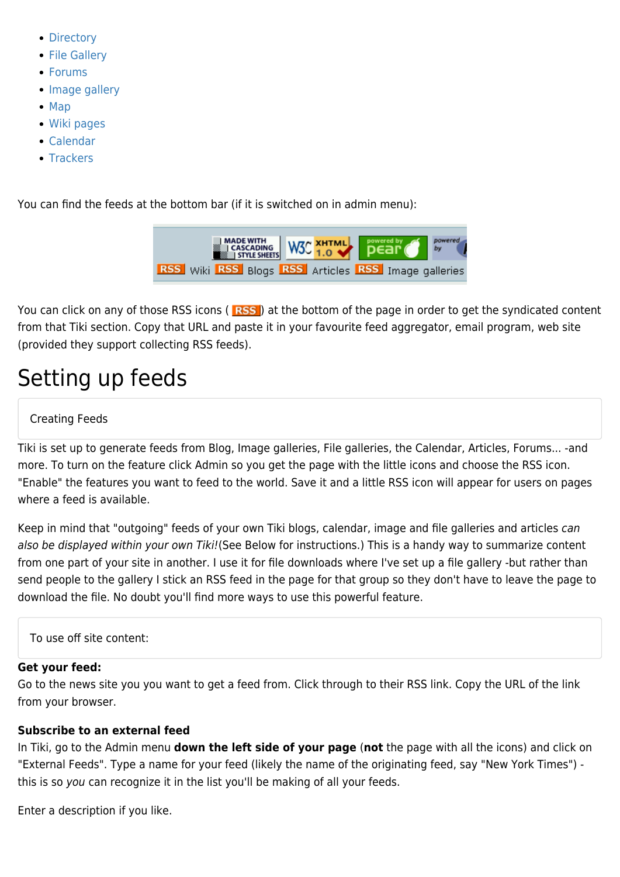- [Directory](https://doc.tiki.org/Directory)
- [File Gallery](https://doc.tiki.org/File-Gallery)
- [Forums](https://doc.tiki.org/Forums)
- [Image gallery](https://doc.tiki.org/Image-Gallery)
- [Map](https://doc.tiki.org/Map)
- [Wiki pages](https://doc.tiki.org/Using-Wiki-Pages)
- [Calendar](https://doc.tiki.org/Calendar)
- [Trackers](https://doc.tiki.org/Trackers)

You can find the feeds at the bottom bar (if it is switched on in admin menu):



Youcan click on any of those RSS icons (**RSS**) at the bottom of the page in order to get the syndicated content from that Tiki section. Copy that URL and paste it in your favourite feed aggregator, email program, web site (provided they support collecting RSS feeds).

# Setting up feeds

#### Creating Feeds

Tiki is set up to generate feeds from Blog, Image galleries, File galleries, the Calendar, Articles, Forums... -and more. To turn on the feature click Admin so you get the page with the little icons and choose the RSS icon. "Enable" the features you want to feed to the world. Save it and a little RSS icon will appear for users on pages where a feed is available.

Keep in mind that "outgoing" feeds of your own Tiki blogs, calendar, image and file galleries and articles can also be displayed within your own Tiki! (See Below for instructions.) This is a handy way to summarize content from one part of your site in another. I use it for file downloads where I've set up a file gallery -but rather than send people to the gallery I stick an RSS feed in the page for that group so they don't have to leave the page to download the file. No doubt you'll find more ways to use this powerful feature.

To use off site content:

#### **Get your feed:**

Go to the news site you you want to get a feed from. Click through to their RSS link. Copy the URL of the link from your browser.

#### **Subscribe to an external feed**

In Tiki, go to the Admin menu **down the left side of your page** (**not** the page with all the icons) and click on "External Feeds". Type a name for your feed (likely the name of the originating feed, say "New York Times") this is so you can recognize it in the list you'll be making of all your feeds.

Enter a description if you like.